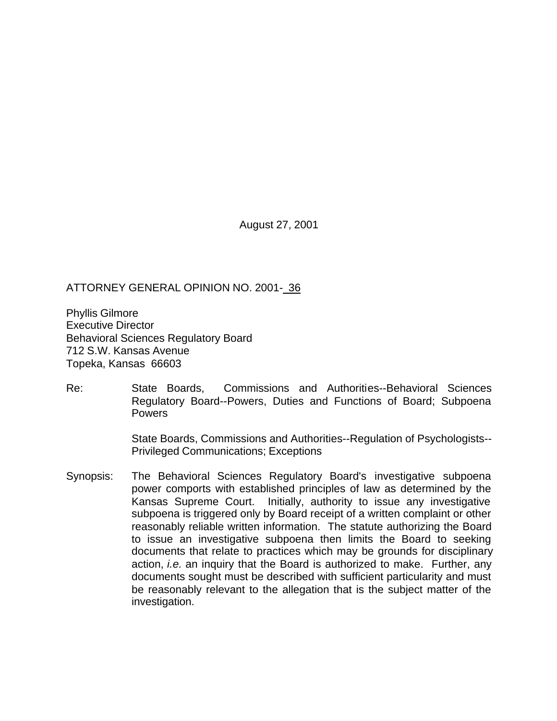August 27, 2001

## ATTORNEY GENERAL OPINION NO. 2001- 36

Phyllis Gilmore Executive Director Behavioral Sciences Regulatory Board 712 S.W. Kansas Avenue Topeka, Kansas 66603

Re: State Boards, Commissions and Authorities--Behavioral Sciences Regulatory Board--Powers, Duties and Functions of Board; Subpoena Powers

> State Boards, Commissions and Authorities--Regulation of Psychologists-- Privileged Communications; Exceptions

Synopsis: The Behavioral Sciences Regulatory Board's investigative subpoena power comports with established principles of law as determined by the Kansas Supreme Court. Initially, authority to issue any investigative subpoena is triggered only by Board receipt of a written complaint or other reasonably reliable written information. The statute authorizing the Board to issue an investigative subpoena then limits the Board to seeking documents that relate to practices which may be grounds for disciplinary action, *i.e.* an inquiry that the Board is authorized to make. Further, any documents sought must be described with sufficient particularity and must be reasonably relevant to the allegation that is the subject matter of the investigation.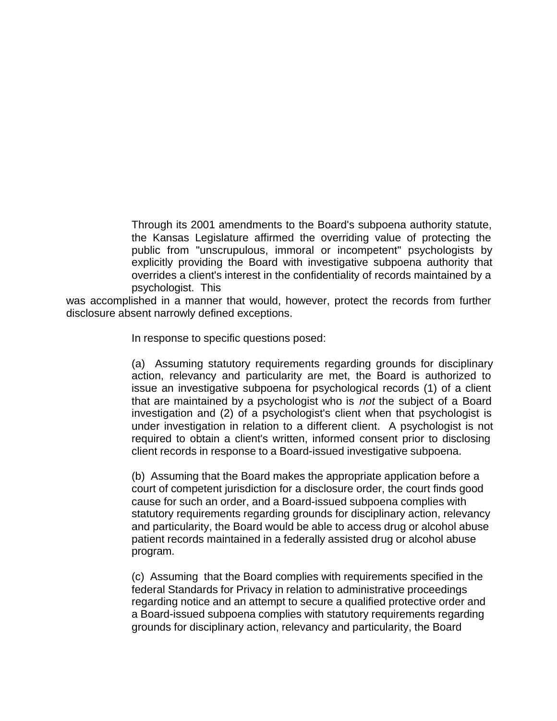Through its 2001 amendments to the Board's subpoena authority statute, the Kansas Legislature affirmed the overriding value of protecting the public from "unscrupulous, immoral or incompetent" psychologists by explicitly providing the Board with investigative subpoena authority that overrides a client's interest in the confidentiality of records maintained by a psychologist. This

was accomplished in a manner that would, however, protect the records from further disclosure absent narrowly defined exceptions.

In response to specific questions posed:

(a) Assuming statutory requirements regarding grounds for disciplinary action, relevancy and particularity are met, the Board is authorized to issue an investigative subpoena for psychological records (1) of a client that are maintained by a psychologist who is *not* the subject of a Board investigation and (2) of a psychologist's client when that psychologist is under investigation in relation to a different client. A psychologist is not required to obtain a client's written, informed consent prior to disclosing client records in response to a Board-issued investigative subpoena.

(b) Assuming that the Board makes the appropriate application before a court of competent jurisdiction for a disclosure order, the court finds good cause for such an order, and a Board-issued subpoena complies with statutory requirements regarding grounds for disciplinary action, relevancy and particularity, the Board would be able to access drug or alcohol abuse patient records maintained in a federally assisted drug or alcohol abuse program.

(c) Assuming that the Board complies with requirements specified in the federal Standards for Privacy in relation to administrative proceedings regarding notice and an attempt to secure a qualified protective order and a Board-issued subpoena complies with statutory requirements regarding grounds for disciplinary action, relevancy and particularity, the Board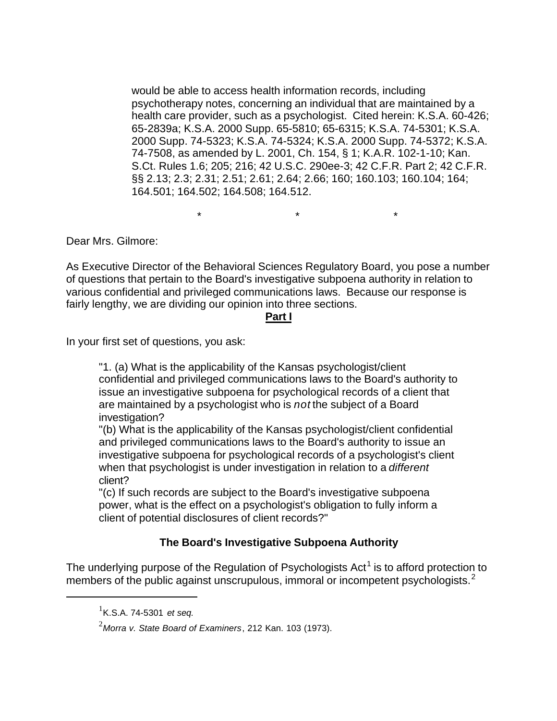would be able to access health information records, including psychotherapy notes, concerning an individual that are maintained by a health care provider, such as a psychologist. Cited herein: K.S.A. 60-426; 65-2839a; K.S.A. 2000 Supp. 65-5810; 65-6315; K.S.A. 74-5301; K.S.A. 2000 Supp. 74-5323; K.S.A. 74-5324; K.S.A. 2000 Supp. 74-5372; K.S.A. 74-7508, as amended by L. 2001, Ch. 154, § 1; K.A.R. 102-1-10; Kan. S.Ct. Rules 1.6; 205; 216; 42 U.S.C. 290ee-3; 42 C.F.R. Part 2; 42 C.F.R. §§ 2.13; 2.3; 2.31; 2.51; 2.61; 2.64; 2.66; 160; 160.103; 160.104; 164; 164.501; 164.502; 164.508; 164.512.

\* \* \*

Dear Mrs. Gilmore:

As Executive Director of the Behavioral Sciences Regulatory Board, you pose a number of questions that pertain to the Board's investigative subpoena authority in relation to various confidential and privileged communications laws. Because our response is fairly lengthy, we are dividing our opinion into three sections.

#### **Part I**

In your first set of questions, you ask:

"1. (a) What is the applicability of the Kansas psychologist/client confidential and privileged communications laws to the Board's authority to issue an investigative subpoena for psychological records of a client that are maintained by a psychologist who is *not* the subject of a Board investigation?

"(b) What is the applicability of the Kansas psychologist/client confidential and privileged communications laws to the Board's authority to issue an investigative subpoena for psychological records of a psychologist's client when that psychologist is under investigation in relation to a *different* client?

"(c) If such records are subject to the Board's investigative subpoena power, what is the effect on a psychologist's obligation to fully inform a client of potential disclosures of client records?"

# **The Board's Investigative Subpoena Authority**

The underlying purpose of the Regulation of Psychologists Act<sup>1</sup> is to afford protection to members of the public against unscrupulous, immoral or incompetent psychologists. $2$ 

<sup>1</sup> K.S.A. 74-5301 *et seq.*

<sup>2</sup>*Morra v. State Board of Examiners*, 212 Kan. 103 (1973).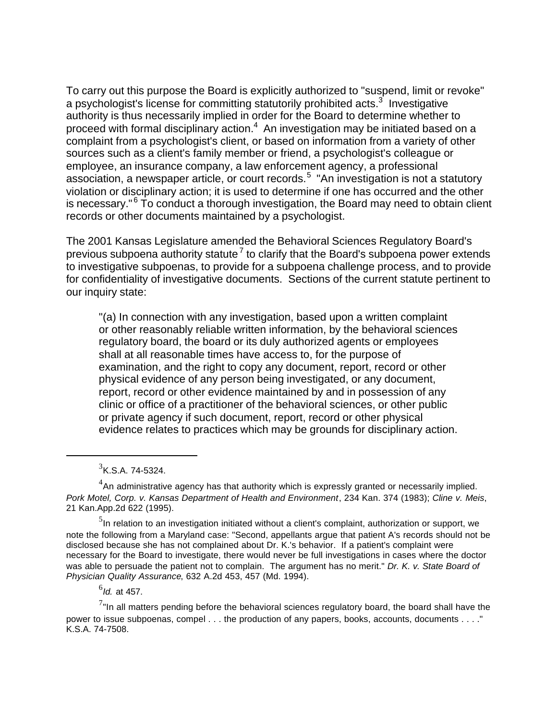To carry out this purpose the Board is explicitly authorized to "suspend, limit or revoke" a psychologist's license for committing statutorily prohibited acts.<sup>3</sup> Investigative authority is thus necessarily implied in order for the Board to determine whether to proceed with formal disciplinary action. $^4\,$  An investigation may be initiated based on a complaint from a psychologist's client, or based on information from a variety of other sources such as a client's family member or friend, a psychologist's colleague or employee, an insurance company, a law enforcement agency, a professional association, a newspaper article, or court records.<sup>5</sup> "An investigation is not a statutory violation or disciplinary action; it is used to determine if one has occurred and the other is necessary."<sup>6</sup> To conduct a thorough investigation, the Board may need to obtain client records or other documents maintained by a psychologist.

The 2001 Kansas Legislature amended the Behavioral Sciences Regulatory Board's previous subpoena authority statute<sup>7</sup> to clarify that the Board's subpoena power extends to investigative subpoenas, to provide for a subpoena challenge process, and to provide for confidentiality of investigative documents. Sections of the current statute pertinent to our inquiry state:

"(a) In connection with any investigation, based upon a written complaint or other reasonably reliable written information, by the behavioral sciences regulatory board, the board or its duly authorized agents or employees shall at all reasonable times have access to, for the purpose of examination, and the right to copy any document, report, record or other physical evidence of any person being investigated, or any document, report, record or other evidence maintained by and in possession of any clinic or office of a practitioner of the behavioral sciences, or other public or private agency if such document, report, record or other physical evidence relates to practices which may be grounds for disciplinary action.

 $3$ K.S.A. 74-5324.

 $4$ An administrative agency has that authority which is expressly granted or necessarily implied. *Pork Motel, Corp. v. Kansas Department of Health and Environment*, 234 Kan. 374 (1983); *Cline v. Meis*, 21 Kan.App.2d 622 (1995).

 $^5$ In relation to an investigation initiated without a client's complaint, authorization or support, we note the following from a Maryland case: "Second, appellants argue that patient A's records should not be disclosed because she has not complained about Dr. K.'s behavior. If a patient's complaint were necessary for the Board to investigate, there would never be full investigations in cases where the doctor was able to persuade the patient not to complain. The argument has no merit." *Dr. K. v. State Board of Physician Quality Assurance*, 632 A.2d 453, 457 (Md. 1994).

<sup>6</sup> *Id.* at 457.

 $^{7}$ "In all matters pending before the behavioral sciences regulatory board, the board shall have the power to issue subpoenas, compel . . . the production of any papers, books, accounts, documents . . . ." K.S.A. 74-7508.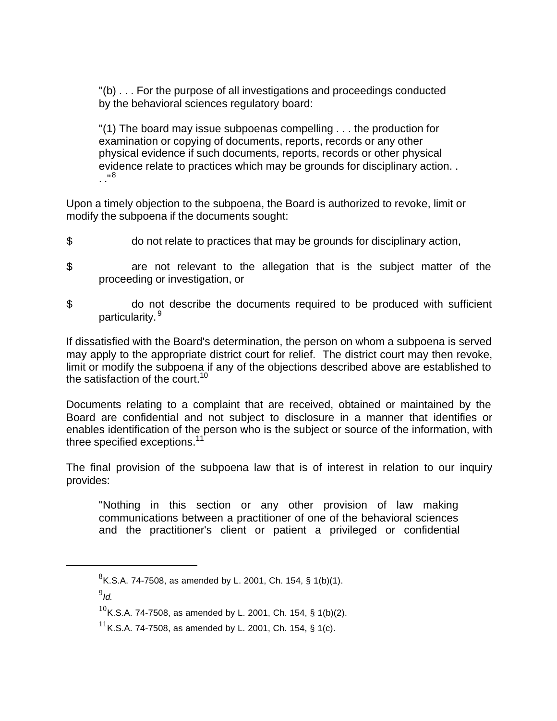"(b) . . . For the purpose of all investigations and proceedings conducted by the behavioral sciences regulatory board:

"(1) The board may issue subpoenas compelling . . . the production for examination or copying of documents, reports, records or any other physical evidence if such documents, reports, records or other physical evidence relate to practices which may be grounds for disciplinary action. . . ."<sup>8</sup>

Upon a timely objection to the subpoena, the Board is authorized to revoke, limit or modify the subpoena if the documents sought:

- \$ do not relate to practices that may be grounds for disciplinary action,
- \$ are not relevant to the allegation that is the subject matter of the proceeding or investigation, or
- \$ do not describe the documents required to be produced with sufficient particularity. 9

If dissatisfied with the Board's determination, the person on whom a subpoena is served may apply to the appropriate district court for relief. The district court may then revoke, limit or modify the subpoena if any of the objections described above are established to the satisfaction of the court.<sup>10</sup>

Documents relating to a complaint that are received, obtained or maintained by the Board are confidential and not subject to disclosure in a manner that identifies or enables identification of the person who is the subject or source of the information, with three specified exceptions. $11$ 

The final provision of the subpoena law that is of interest in relation to our inquiry provides:

"Nothing in this section or any other provision of law making communications between a practitioner of one of the behavioral sciences and the practitioner's client or patient a privileged or confidential

9 *Id.*

 ${}^{8}$ K.S.A. 74-7508, as amended by L. 2001, Ch. 154, § 1(b)(1).

 $10$ K.S.A. 74-7508, as amended by L. 2001, Ch. 154, § 1(b)(2).

<sup>&</sup>lt;sup>11</sup>K.S.A. 74-7508, as amended by L. 2001, Ch. 154, § 1(c).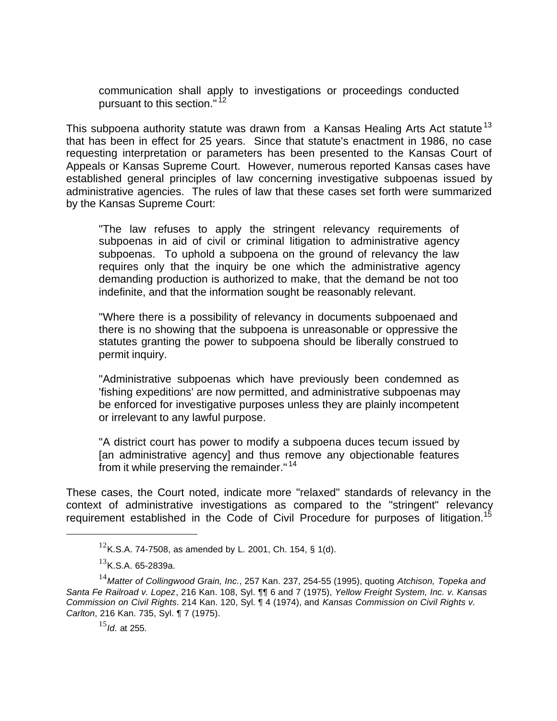communication shall apply to investigations or proceedings conducted pursuant to this section."<sup>12</sup>

This subpoena authority statute was drawn from a Kansas Healing Arts Act statute<sup>13</sup> that has been in effect for 25 years. Since that statute's enactment in 1986, no case requesting interpretation or parameters has been presented to the Kansas Court of Appeals or Kansas Supreme Court. However, numerous reported Kansas cases have established general principles of law concerning investigative subpoenas issued by administrative agencies. The rules of law that these cases set forth were summarized by the Kansas Supreme Court:

"The law refuses to apply the stringent relevancy requirements of subpoenas in aid of civil or criminal litigation to administrative agency subpoenas. To uphold a subpoena on the ground of relevancy the law requires only that the inquiry be one which the administrative agency demanding production is authorized to make, that the demand be not too indefinite, and that the information sought be reasonably relevant.

"Where there is a possibility of relevancy in documents subpoenaed and there is no showing that the subpoena is unreasonable or oppressive the statutes granting the power to subpoena should be liberally construed to permit inquiry.

"Administrative subpoenas which have previously been condemned as 'fishing expeditions' are now permitted, and administrative subpoenas may be enforced for investigative purposes unless they are plainly incompetent or irrelevant to any lawful purpose.

"A district court has power to modify a subpoena duces tecum issued by [an administrative agency] and thus remove any objectionable features from it while preserving the remainder."<sup>14</sup>

These cases, the Court noted, indicate more "relaxed" standards of relevancy in the context of administrative investigations as compared to the "stringent" relevancy requirement established in the Code of Civil Procedure for purposes of litigation.<sup>15</sup>

<sup>&</sup>lt;sup>12</sup>K.S.A. 74-7508, as amended by L. 2001, Ch. 154, § 1(d).

 $^{13}$ K.S.A. 65-2839a.

<sup>14</sup>*Matter of Collingwood Grain, Inc.*, 257 Kan. 237, 254-55 (1995), quoting *Atchison, Topeka and Santa Fe Railroad v. Lopez*, 216 Kan. 108, Syl. ¶¶ 6 and 7 (1975), *Yellow Freight System, Inc. v. Kansas Commission on Civil Rights*. 214 Kan. 120, Syl. ¶ 4 (1974), and *Kansas Commission on Civil Rights v. Carlton*, 216 Kan. 735, Syl. ¶ 7 (1975).

<sup>15</sup>*Id.* at 255.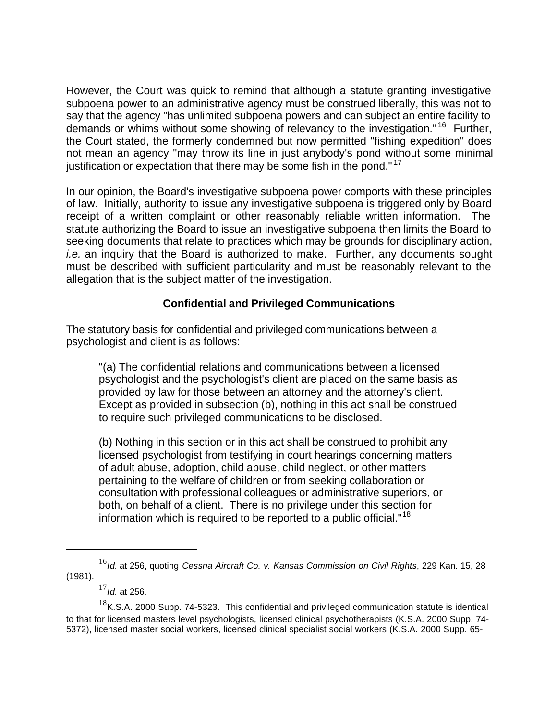However, the Court was quick to remind that although a statute granting investigative subpoena power to an administrative agency must be construed liberally, this was not to say that the agency "has unlimited subpoena powers and can subject an entire facility to demands or whims without some showing of relevancy to the investigation." <sup>16</sup> Further, the Court stated, the formerly condemned but now permitted "fishing expedition" does not mean an agency "may throw its line in just anybody's pond without some minimal justification or expectation that there may be some fish in the pond." $17$ 

In our opinion, the Board's investigative subpoena power comports with these principles of law. Initially, authority to issue any investigative subpoena is triggered only by Board receipt of a written complaint or other reasonably reliable written information. The statute authorizing the Board to issue an investigative subpoena then limits the Board to seeking documents that relate to practices which may be grounds for disciplinary action, *i.e.* an inquiry that the Board is authorized to make. Further, any documents sought must be described with sufficient particularity and must be reasonably relevant to the allegation that is the subject matter of the investigation.

## **Confidential and Privileged Communications**

The statutory basis for confidential and privileged communications between a psychologist and client is as follows:

"(a) The confidential relations and communications between a licensed psychologist and the psychologist's client are placed on the same basis as provided by law for those between an attorney and the attorney's client. Except as provided in subsection (b), nothing in this act shall be construed to require such privileged communications to be disclosed.

(b) Nothing in this section or in this act shall be construed to prohibit any licensed psychologist from testifying in court hearings concerning matters of adult abuse, adoption, child abuse, child neglect, or other matters pertaining to the welfare of children or from seeking collaboration or consultation with professional colleagues or administrative superiors, or both, on behalf of a client. There is no privilege under this section for information which is required to be reported to a public official."<sup>18</sup>

<sup>17</sup>*Id*. at 256.

<sup>16</sup>*Id*. at 256, quoting *Cessna Aircraft Co. v. Kansas Commission on Civil Rights*, 229 Kan. 15, 28 (1981).

 $18$ K.S.A. 2000 Supp. 74-5323. This confidential and privileged communication statute is identical to that for licensed masters level psychologists, licensed clinical psychotherapists (K.S.A. 2000 Supp. 74- 5372), licensed master social workers, licensed clinical specialist social workers (K.S.A. 2000 Supp. 65-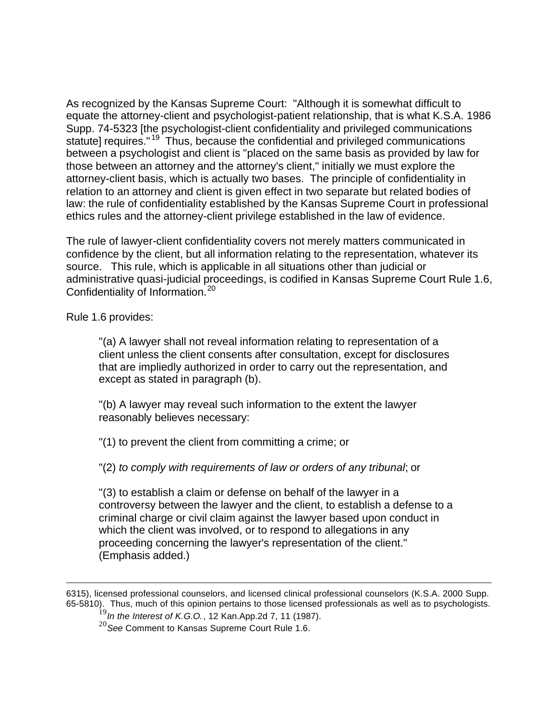As recognized by the Kansas Supreme Court: "Although it is somewhat difficult to equate the attorney-client and psychologist-patient relationship, that is what K.S.A. 1986 Supp. 74-5323 [the psychologist-client confidentiality and privileged communications statute] requires."<sup>19</sup> Thus, because the confidential and privileged communications between a psychologist and client is "placed on the same basis as provided by law for those between an attorney and the attorney's client," initially we must explore the attorney-client basis, which is actually two bases. The principle of confidentiality in relation to an attorney and client is given effect in two separate but related bodies of law: the rule of confidentiality established by the Kansas Supreme Court in professional ethics rules and the attorney-client privilege established in the law of evidence.

The rule of lawyer-client confidentiality covers not merely matters communicated in confidence by the client, but all information relating to the representation, whatever its source. This rule, which is applicable in all situations other than judicial or administrative quasi-judicial proceedings, is codified in Kansas Supreme Court Rule 1.6, Confidentiality of Information.<sup>20</sup>

Rule 1.6 provides:

 $\overline{a}$ 

"(a) A lawyer shall not reveal information relating to representation of a client unless the client consents after consultation, except for disclosures that are impliedly authorized in order to carry out the representation, and except as stated in paragraph (b).

"(b) A lawyer may reveal such information to the extent the lawyer reasonably believes necessary:

"(1) to prevent the client from committing a crime; or

"(2) *to comply with requirements of law or orders of any tribunal*; or

"(3) to establish a claim or defense on behalf of the lawyer in a controversy between the lawyer and the client, to establish a defense to a criminal charge or civil claim against the lawyer based upon conduct in which the client was involved, or to respond to allegations in any proceeding concerning the lawyer's representation of the client." (Emphasis added.)

<sup>6315),</sup> licensed professional counselors, and licensed clinical professional counselors (K.S.A. 2000 Supp. 65-5810). Thus, much of this opinion pertains to those licensed professionals as well as to psychologists.

<sup>19</sup>*In the Interest of K.G.O.*, 12 Kan.App.2d 7, 11 (1987).

<sup>20</sup>*See* Comment to Kansas Supreme Court Rule 1.6.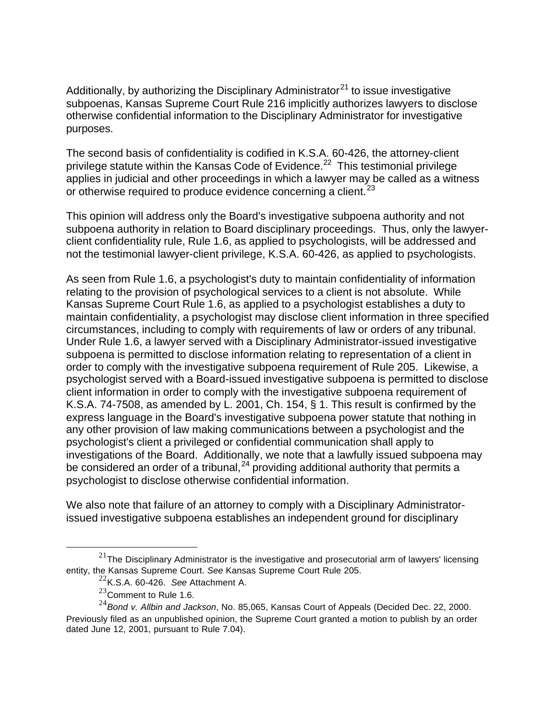Additionally, by authorizing the Disciplinary Administrator<sup>21</sup> to issue investigative subpoenas, Kansas Supreme Court Rule 216 implicitly authorizes lawyers to disclose otherwise confidential information to the Disciplinary Administrator for investigative purposes.

The second basis of confidentiality is codified in K.S.A. 60-426, the attorney-client privilege statute within the Kansas Code of Evidence.<sup>22</sup> This testimonial privilege applies in judicial and other proceedings in which a lawyer may be called as a witness or otherwise required to produce evidence concerning a client.<sup>23</sup>

This opinion will address only the Board's investigative subpoena authority and not subpoena authority in relation to Board disciplinary proceedings. Thus, only the lawyerclient confidentiality rule, Rule 1.6, as applied to psychologists, will be addressed and not the testimonial lawyer-client privilege, K.S.A. 60-426, as applied to psychologists.

As seen from Rule 1.6, a psychologist's duty to maintain confidentiality of information relating to the provision of psychological services to a client is not absolute. While Kansas Supreme Court Rule 1.6, as applied to a psychologist establishes a duty to maintain confidentiality, a psychologist may disclose client information in three specified circumstances, including to comply with requirements of law or orders of any tribunal. Under Rule 1.6, a lawyer served with a Disciplinary Administrator-issued investigative subpoena is permitted to disclose information relating to representation of a client in order to comply with the investigative subpoena requirement of Rule 205. Likewise, a psychologist served with a Board-issued investigative subpoena is permitted to disclose client information in order to comply with the investigative subpoena requirement of K.S.A. 74-7508, as amended by L. 2001, Ch. 154,  $\S$  1. This result is confirmed by the express language in the Board's investigative subpoena power statute that nothing in any other provision of law making communications between a psychologist and the psychologist's client a privileged or confidential communication shall apply to investigations of the Board. Additionally, we note that a lawfully issued subpoena may be considered an order of a tribunal,  $24$  providing additional authority that permits a psychologist to disclose otherwise confidential information.

We also note that failure of an attorney to comply with a Disciplinary Administratorissued investigative subpoena establishes an independent ground for disciplinary

 $21$ The Disciplinary Administrator is the investigative and prosecutorial arm of lawyers' licensing entity, the Kansas Supreme Court. *See* Kansas Supreme Court Rule 205.

<sup>22</sup>K.S.A. 60-426. *See* Attachment A.

 $^{23}$ Comment to Rule 1.6.

<sup>24</sup>*Bond v. Allbin and Jackson*, No. 85,065, Kansas Court of Appeals (Decided Dec. 22, 2000. Previously filed as an unpublished opinion, the Supreme Court granted a motion to publish by an order dated June 12, 2001, pursuant to Rule 7.04).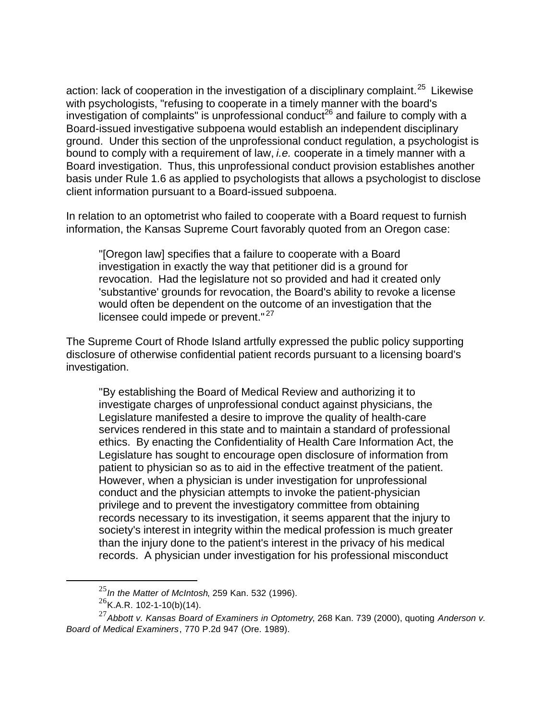action: lack of cooperation in the investigation of a disciplinary complaint.<sup>25</sup> Likewise with psychologists, "refusing to cooperate in a timely manner with the board's investigation of complaints" is unprofessional conduct<sup>26</sup> and failure to comply with a Board-issued investigative subpoena would establish an independent disciplinary ground. Under this section of the unprofessional conduct regulation, a psychologist is bound to comply with a requirement of law, *i.e.* cooperate in a timely manner with a Board investigation. Thus, this unprofessional conduct provision establishes another basis under Rule 1.6 as applied to psychologists that allows a psychologist to disclose client information pursuant to a Board-issued subpoena.

In relation to an optometrist who failed to cooperate with a Board request to furnish information, the Kansas Supreme Court favorably quoted from an Oregon case:

"[Oregon law] specifies that a failure to cooperate with a Board investigation in exactly the way that petitioner did is a ground for revocation. Had the legislature not so provided and had it created only 'substantive' grounds for revocation, the Board's ability to revoke a license would often be dependent on the outcome of an investigation that the licensee could impede or prevent."<sup>27</sup>

The Supreme Court of Rhode Island artfully expressed the public policy supporting disclosure of otherwise confidential patient records pursuant to a licensing board's investigation.

"By establishing the Board of Medical Review and authorizing it to investigate charges of unprofessional conduct against physicians, the Legislature manifested a desire to improve the quality of health-care services rendered in this state and to maintain a standard of professional ethics. By enacting the Confidentiality of Health Care Information Act, the Legislature has sought to encourage open disclosure of information from patient to physician so as to aid in the effective treatment of the patient. However, when a physician is under investigation for unprofessional conduct and the physician attempts to invoke the patient-physician privilege and to prevent the investigatory committee from obtaining records necessary to its investigation, it seems apparent that the injury to society's interest in integrity within the medical profession is much greater than the injury done to the patient's interest in the privacy of his medical records. A physician under investigation for his professional misconduct

<sup>25</sup>*In the Matter of McIntosh*, 259 Kan. 532 (1996).

 $^{26}$ K.A.R. 102-1-10(b)(14).

<sup>27</sup>*Abbott v. Kansas Board of Examiners in Optometry*, 268 Kan. 739 (2000), quoting *Anderson v. Board of Medical Examiners*, 770 P.2d 947 (Ore. 1989).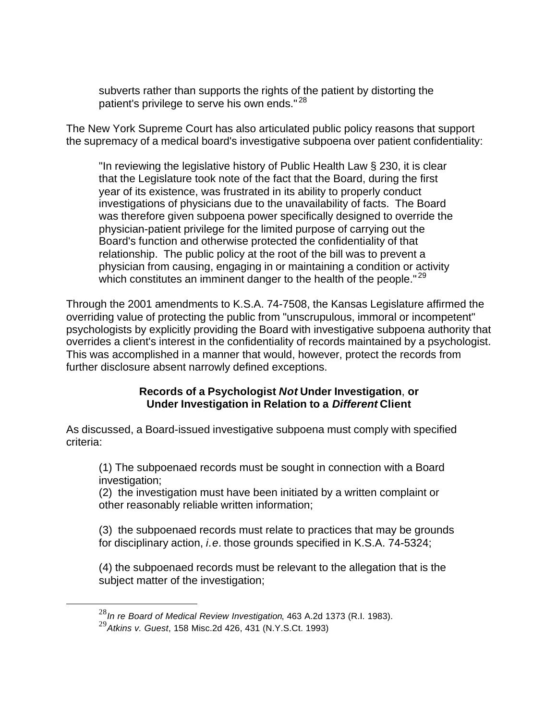subverts rather than supports the rights of the patient by distorting the patient's privilege to serve his own ends."<sup>28</sup>

The New York Supreme Court has also articulated public policy reasons that support the supremacy of a medical board's investigative subpoena over patient confidentiality:

"In reviewing the legislative history of Public Health Law § 230, it is clear that the Legislature took note of the fact that the Board, during the first year of its existence, was frustrated in its ability to properly conduct investigations of physicians due to the unavailability of facts. The Board was therefore given subpoena power specifically designed to override the physician-patient privilege for the limited purpose of carrying out the Board's function and otherwise protected the confidentiality of that relationship. The public policy at the root of the bill was to prevent a physician from causing, engaging in or maintaining a condition or activity which constitutes an imminent danger to the health of the people."<sup>29</sup>

Through the 2001 amendments to K.S.A. 74-7508, the Kansas Legislature affirmed the overriding value of protecting the public from "unscrupulous, immoral or incompetent" psychologists by explicitly providing the Board with investigative subpoena authority that overrides a client's interest in the confidentiality of records maintained by a psychologist. This was accomplished in a manner that would, however, protect the records from further disclosure absent narrowly defined exceptions.

#### **Records of a Psychologist** *Not* **Under Investigation**, **or Under Investigation in Relation to a** *Different* **Client**

As discussed, a Board-issued investigative subpoena must comply with specified criteria:

(1) The subpoenaed records must be sought in connection with a Board investigation;

(2) the investigation must have been initiated by a written complaint or other reasonably reliable written information;

(3) the subpoenaed records must relate to practices that may be grounds for disciplinary action, *i.e.* those grounds specified in K.S.A. 74-5324;

(4) the subpoenaed records must be relevant to the allegation that is the subject matter of the investigation;

<sup>28</sup>*In re Board of Medical Review Investigation*, 463 A.2d 1373 (R.I. 1983).

<sup>29</sup>*Atkins v. Guest*, 158 Misc.2d 426, 431 (N.Y.S.Ct. 1993)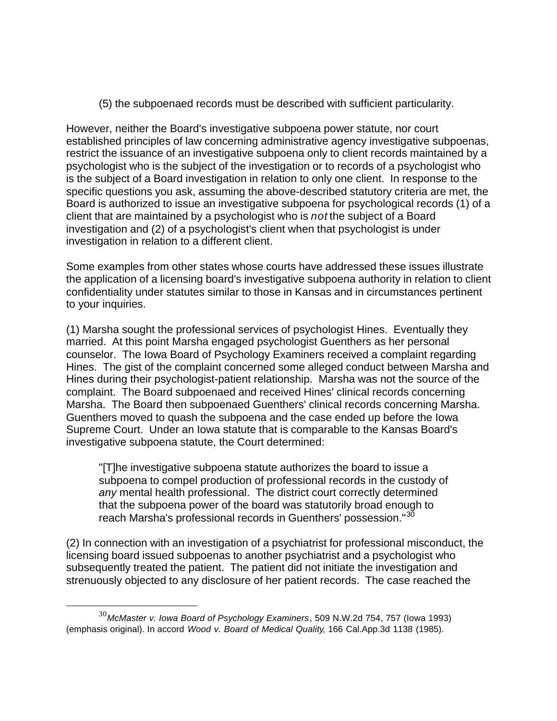(5) the subpoenaed records must be described with sufficient particularity.

However, neither the Board's investigative subpoena power statute, nor court established principles of law concerning administrative agency investigative subpoenas, restrict the issuance of an investigative subpoena only to client records maintained by a psychologist who is the subject of the investigation or to records of a psychologist who is the subject of a Board investigation in relation to only one client. In response to the specific questions you ask, assuming the above-described statutory criteria are met, the Board is authorized to issue an investigative subpoena for psychological records (1) of a client that are maintained by a psychologist who is *not* the subject of a Board investigation and (2) of a psychologist's client when that psychologist is under investigation in relation to a different client.

Some examples from other states whose courts have addressed these issues illustrate the application of a licensing board's investigative subpoena authority in relation to client confidentiality under statutes similar to those in Kansas and in circumstances pertinent to your inquiries.

(1) Marsha sought the professional services of psychologist Hines. Eventually they married. At this point Marsha engaged psychologist Guenthers as her personal counselor. The Iowa Board of Psychology Examiners received a complaint regarding Hines. The gist of the complaint concerned some alleged conduct between Marsha and Hines during their psychologist-patient relationship. Marsha was not the source of the complaint. The Board subpoenaed and received Hines' clinical records concerning Marsha. The Board then subpoenaed Guenthers' clinical records concerning Marsha. Guenthers moved to quash the subpoena and the case ended up before the Iowa Supreme Court. Under an Iowa statute that is comparable to the Kansas Board's investigative subpoena statute, the Court determined:

"[T]he investigative subpoena statute authorizes the board to issue a subpoena to compel production of professional records in the custody of *any* mental health professional. The district court correctly determined that the subpoena power of the board was statutorily broad enough to reach Marsha's professional records in Guenthers' possession."<sup>30</sup>

(2) In connection with an investigation of a psychiatrist for professional misconduct, the licensing board issued subpoenas to another psychiatrist and a psychologist who subsequently treated the patient. The patient did not initiate the investigation and strenuously objected to any disclosure of her patient records. The case reached the

<sup>30</sup>*McMaster v. Iowa Board of Psychology Examiners*, 509 N.W.2d 754, 757 (Iowa 1993) (emphasis original). In accord *Wood v. Board of Medical Quality*, 166 Cal.App.3d 1138 (1985).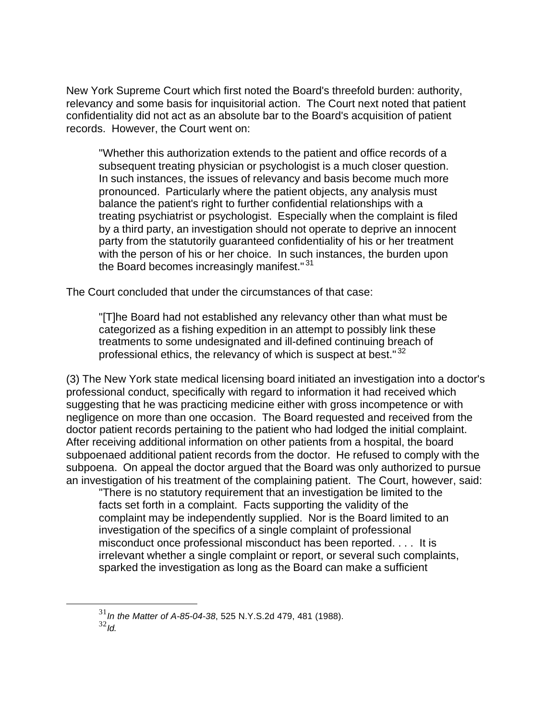New York Supreme Court which first noted the Board's threefold burden: authority, relevancy and some basis for inquisitorial action. The Court next noted that patient confidentiality did not act as an absolute bar to the Board's acquisition of patient records. However, the Court went on:

"Whether this authorization extends to the patient and office records of a subsequent treating physician or psychologist is a much closer question. In such instances, the issues of relevancy and basis become much more pronounced. Particularly where the patient objects, any analysis must balance the patient's right to further confidential relationships with a treating psychiatrist or psychologist. Especially when the complaint is filed by a third party, an investigation should not operate to deprive an innocent party from the statutorily guaranteed confidentiality of his or her treatment with the person of his or her choice. In such instances, the burden upon the Board becomes increasingly manifest."<sup>31</sup>

The Court concluded that under the circumstances of that case:

"[T]he Board had not established any relevancy other than what must be categorized as a fishing expedition in an attempt to possibly link these treatments to some undesignated and ill-defined continuing breach of professional ethics, the relevancy of which is suspect at best."<sup>32</sup>

(3) The New York state medical licensing board initiated an investigation into a doctor's professional conduct, specifically with regard to information it had received which suggesting that he was practicing medicine either with gross incompetence or with negligence on more than one occasion. The Board requested and received from the doctor patient records pertaining to the patient who had lodged the initial complaint. After receiving additional information on other patients from a hospital, the board subpoenaed additional patient records from the doctor. He refused to comply with the subpoena. On appeal the doctor argued that the Board was only authorized to pursue an investigation of his treatment of the complaining patient. The Court, however, said:

"There is no statutory requirement that an investigation be limited to the facts set forth in a complaint. Facts supporting the validity of the complaint may be independently supplied. Nor is the Board limited to an investigation of the specifics of a single complaint of professional misconduct once professional misconduct has been reported. . . . It is irrelevant whether a single complaint or report, or several such complaints, sparked the investigation as long as the Board can make a sufficient

<sup>31</sup>*In the Matter of A-85-04-38*, 525 N.Y.S.2d 479, 481 (1988).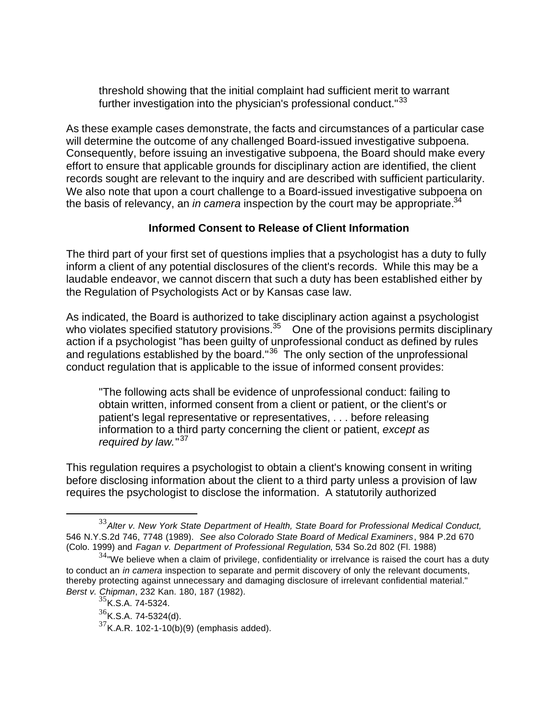threshold showing that the initial complaint had sufficient merit to warrant further investigation into the physician's professional conduct."<sup>33</sup>

As these example cases demonstrate, the facts and circumstances of a particular case will determine the outcome of any challenged Board-issued investigative subpoena. Consequently, before issuing an investigative subpoena, the Board should make every effort to ensure that applicable grounds for disciplinary action are identified, the client records sought are relevant to the inquiry and are described with sufficient particularity. We also note that upon a court challenge to a Board-issued investigative subpoena on the basis of relevancy, an *in camera* inspection by the court may be appropriate.<sup>34</sup>

## **Informed Consent to Release of Client Information**

The third part of your first set of questions implies that a psychologist has a duty to fully inform a client of any potential disclosures of the client's records. While this may be a laudable endeavor, we cannot discern that such a duty has been established either by the Regulation of Psychologists Act or by Kansas case law.

As indicated, the Board is authorized to take disciplinary action against a psychologist who violates specified statutory provisions.<sup>35</sup> One of the provisions permits disciplinary action if a psychologist "has been guilty of unprofessional conduct as defined by rules and regulations established by the board."<sup>36</sup> The only section of the unprofessional conduct regulation that is applicable to the issue of informed consent provides:

"The following acts shall be evidence of unprofessional conduct: failing to obtain written, informed consent from a client or patient, or the client's or patient's legal representative or representatives, . . . before releasing information to a third party concerning the client or patient, *except as required by law.*" 37

This regulation requires a psychologist to obtain a client's knowing consent in writing before disclosing information about the client to a third party unless a provision of law requires the psychologist to disclose the information. A statutorily authorized

<sup>33</sup>*Alter v. New York State Department of Health, State Board for Professional Medical Conduct,* 546 N.Y.S.2d 746, 7748 (1989). *See also Colorado State Board of Medical Examiners*, 984 P.2d 670 (Colo. 1999) and *Fagan v. Department of Professional Regulation*, 534 So.2d 802 (Fl. 1988)

 $34$ "We believe when a claim of privilege, confidentiality or irrelvance is raised the court has a duty to conduct an *in camera* inspection to separate and permit discovery of only the relevant documents, thereby protecting against unnecessary and damaging disclosure of irrelevant confidential material." *Berst v. Chipman*, 232 Kan. 180, 187 (1982).

<sup>&</sup>lt;sup>35</sup>K.S.A. 74-5324.

 $36$ K.S.A. 74-5324(d).

 $37$ K.A.R. 102-1-10(b)(9) (emphasis added).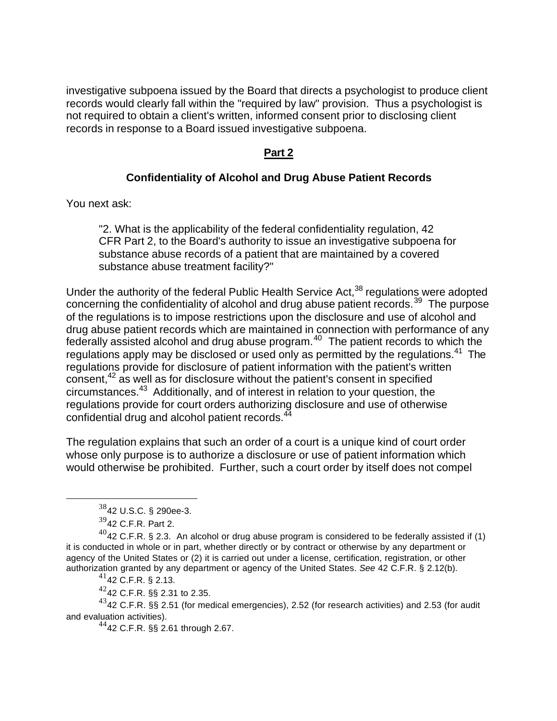investigative subpoena issued by the Board that directs a psychologist to produce client records would clearly fall within the "required by law" provision. Thus a psychologist is not required to obtain a client's written, informed consent prior to disclosing client records in response to a Board issued investigative subpoena.

## **Part 2**

## **Confidentiality of Alcohol and Drug Abuse Patient Records**

You next ask:

"2. What is the applicability of the federal confidentiality regulation, 42 CFR Part 2, to the Board's authority to issue an investigative subpoena for substance abuse records of a patient that are maintained by a covered substance abuse treatment facility?"

Under the authority of the federal Public Health Service Act,  $38$  regulations were adopted concerning the confidentiality of alcohol and drug abuse patient records.<sup>39</sup> The purpose of the regulations is to impose restrictions upon the disclosure and use of alcohol and drug abuse patient records which are maintained in connection with performance of any federally assisted alcohol and drug abuse program.<sup>40</sup> The patient records to which the regulations apply may be disclosed or used only as permitted by the regulations.<sup>41</sup> The regulations provide for disclosure of patient information with the patient's written consent,<sup>42</sup> as well as for disclosure without the patient's consent in specified circumstances.<sup>43</sup> Additionally, and of interest in relation to your question, the regulations provide for court orders authorizing disclosure and use of otherwise confidential drug and alcohol patient records.<sup>44</sup>

The regulation explains that such an order of a court is a unique kind of court order whose only purpose is to authorize a disclosure or use of patient information which would otherwise be prohibited. Further, such a court order by itself does not compel

 $\overline{a}$ 

 $^{41}$ 42 C.F.R. § 2.13.

 $4242$  C.F.R. §§ 2.31 to 2.35.

 $^{43}$ 42 C.F.R. §§ 2.51 (for medical emergencies), 2.52 (for research activities) and 2.53 (for audit and evaluation activities).

 $4442$  C.F.R. §§ 2.61 through 2.67.

<sup>38</sup>42 U.S.C. § 290ee-3.

 $39$ 42 C.F.R. Part 2.

 $^{40}$ 42 C.F.R. § 2.3. An alcohol or drug abuse program is considered to be federally assisted if (1) it is conducted in whole or in part, whether directly or by contract or otherwise by any department or agency of the United States or (2) it is carried out under a license, certification, registration, or other authorization granted by any department or agency of the United States. *See* 42 C.F.R. § 2.12(b).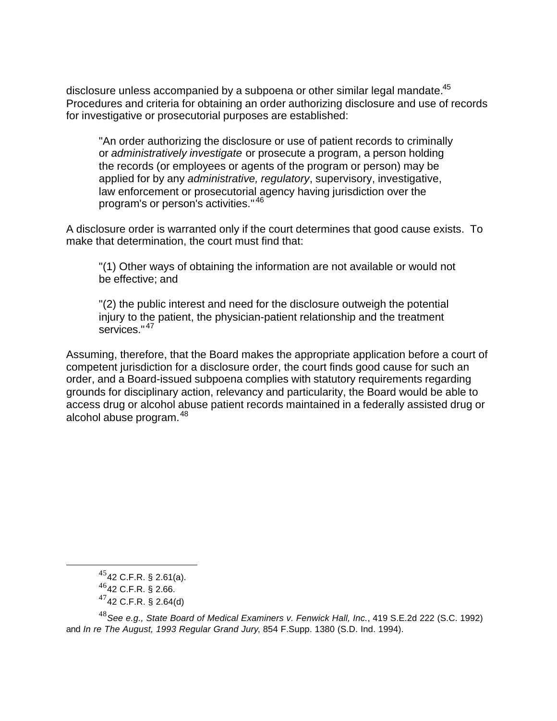disclosure unless accompanied by a subpoena or other similar legal mandate.<sup>45</sup> Procedures and criteria for obtaining an order authorizing disclosure and use of records for investigative or prosecutorial purposes are established:

"An order authorizing the disclosure or use of patient records to criminally or *administratively investigate* or prosecute a program, a person holding the records (or employees or agents of the program or person) may be applied for by any *administrative, regulatory*, supervisory, investigative, law enforcement or prosecutorial agency having jurisdiction over the program's or person's activities." <sup>46</sup>

A disclosure order is warranted only if the court determines that good cause exists. To make that determination, the court must find that:

"(1) Other ways of obtaining the information are not available or would not be effective; and

"(2) the public interest and need for the disclosure outweigh the potential injury to the patient, the physician-patient relationship and the treatment services." <sup>47</sup>

Assuming, therefore, that the Board makes the appropriate application before a court of competent jurisdiction for a disclosure order, the court finds good cause for such an order, and a Board-issued subpoena complies with statutory requirements regarding grounds for disciplinary action, relevancy and particularity, the Board would be able to access drug or alcohol abuse patient records maintained in a federally assisted drug or alcohol abuse program. <sup>48</sup>

 $45$ 42 C.F.R. § 2.61(a).

<sup>46</sup>42 C.F.R. § 2.66.

 $47$ 42 C.F.R. § 2.64(d)

<sup>48</sup>*See e.g., State Board of Medical Examiners v. Fenwick Hall, Inc.*, 419 S.E.2d 222 (S.C. 1992) and *In re The August, 1993 Regular Grand Jury*, 854 F.Supp. 1380 (S.D. Ind. 1994).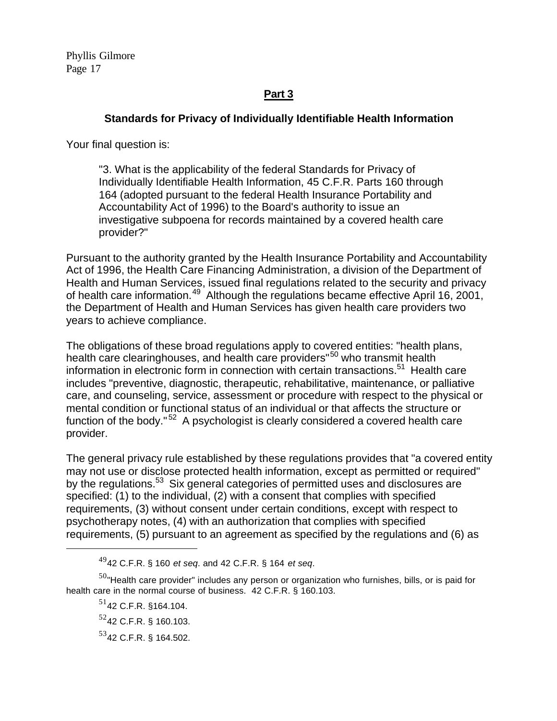Phyllis Gilmore Page 17

# **Part 3**

## **Standards for Privacy of Individually Identifiable Health Information**

Your final question is:

"3. What is the applicability of the federal Standards for Privacy of Individually Identifiable Health Information, 45 C.F.R. Parts 160 through 164 (adopted pursuant to the federal Health Insurance Portability and Accountability Act of 1996) to the Board's authority to issue an investigative subpoena for records maintained by a covered health care provider?"

Pursuant to the authority granted by the Health Insurance Portability and Accountability Act of 1996, the Health Care Financing Administration, a division of the Department of Health and Human Services, issued final regulations related to the security and privacy of health care information.<sup>49</sup> Although the regulations became effective April 16, 2001, the Department of Health and Human Services has given health care providers two years to achieve compliance.

The obligations of these broad regulations apply to covered entities: "health plans, health care clearinghouses, and health care providers"<sup>50</sup> who transmit health information in electronic form in connection with certain transactions.<sup>51</sup> Health care includes "preventive, diagnostic, therapeutic, rehabilitative, maintenance, or palliative care, and counseling, service, assessment or procedure with respect to the physical or mental condition or functional status of an individual or that affects the structure or function of the body." <sup>52</sup> A psychologist is clearly considered a covered health care provider.

The general privacy rule established by these regulations provides that "a covered entity may not use or disclose protected health information, except as permitted or required" by the regulations.<sup>53</sup> Six general categories of permitted uses and disclosures are specified: (1) to the individual, (2) with a consent that complies with specified requirements, (3) without consent under certain conditions, except with respect to psychotherapy notes, (4) with an authorization that complies with specified requirements, (5) pursuant to an agreement as specified by the regulations and (6) as

<sup>49</sup>42 C.F.R. § 160 *et seq*. and 42 C.F.R. § 164 *et seq*.

 $50<sub>''</sub>$ Health care provider" includes any person or organization who furnishes, bills, or is paid for health care in the normal course of business. 42 C.F.R. § 160.103.

 $51$ 42 C.F.R. §164.104.

 $52$ 42 C.F.R. § 160.103.

<sup>53</sup>42 C.F.R. § 164.502.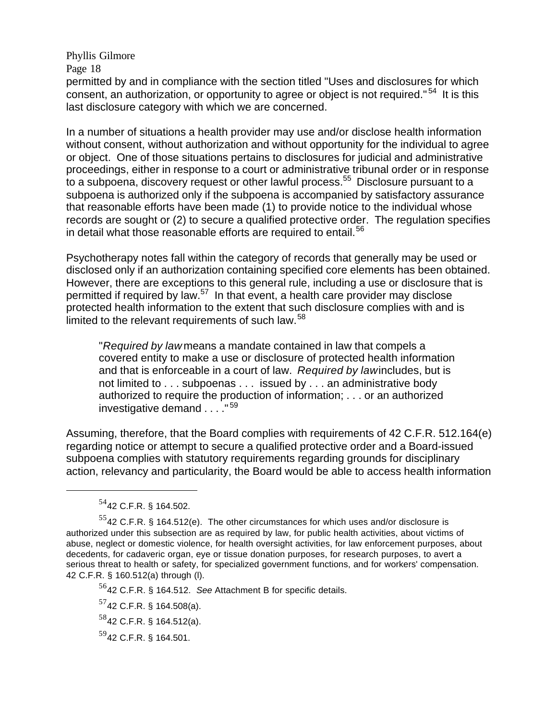Phyllis Gilmore Page 18

permitted by and in compliance with the section titled "Uses and disclosures for which consent, an authorization, or opportunity to agree or object is not required."<sup>54</sup> It is this last disclosure category with which we are concerned.

In a number of situations a health provider may use and/or disclose health information without consent, without authorization and without opportunity for the individual to agree or object. One of those situations pertains to disclosures for judicial and administrative proceedings, either in response to a court or administrative tribunal order or in response to a subpoena, discovery request or other lawful process.<sup>55</sup> Disclosure pursuant to a subpoena is authorized only if the subpoena is accompanied by satisfactory assurance that reasonable efforts have been made (1) to provide notice to the individual whose records are sought or (2) to secure a qualified protective order. The regulation specifies in detail what those reasonable efforts are required to entail.<sup>56</sup>

Psychotherapy notes fall within the category of records that generally may be used or disclosed only if an authorization containing specified core elements has been obtained. However, there are exceptions to this general rule, including a use or disclosure that is permitted if required by law.<sup>57</sup> In that event, a health care provider may disclose protected health information to the extent that such disclosure complies with and is limited to the relevant requirements of such law.<sup>58</sup>

"*Required by law* means a mandate contained in law that compels a covered entity to make a use or disclosure of protected health information and that is enforceable in a court of law. *Required by lawincludes*, but is not limited to . . . subpoenas . . . issued by . . . an administrative body authorized to require the production of information; . . . or an authorized investigative demand . . . . "<sup>59</sup>

Assuming, therefore, that the Board complies with requirements of 42 C.F.R. 512.164(e) regarding notice or attempt to secure a qualified protective order and a Board-issued subpoena complies with statutory requirements regarding grounds for disciplinary action, relevancy and particularity, the Board would be able to access health information

 $\overline{a}$ 

<sup>56</sup>42 C.F.R. § 164.512. *See* Attachment B for specific details.

 $57$ 42 C.F.R. § 164.508(a).

<sup>54</sup>42 C.F.R. § 164.502.

 $^{55}$ 42 C.F.R. § 164.512(e). The other circumstances for which uses and/or disclosure is authorized under this subsection are as required by law, for public health activities, about victims of abuse, neglect or domestic violence, for health oversight activities, for law enforcement purposes, about decedents, for cadaveric organ, eye or tissue donation purposes, for research purposes, to avert a serious threat to health or safety, for specialized government functions, and for workers' compensation. 42 C.F.R. § 160.512(a) through (l).

 $58$ 42 C.F.R. § 164.512(a).

 $59$ 42 C.F.R. § 164.501.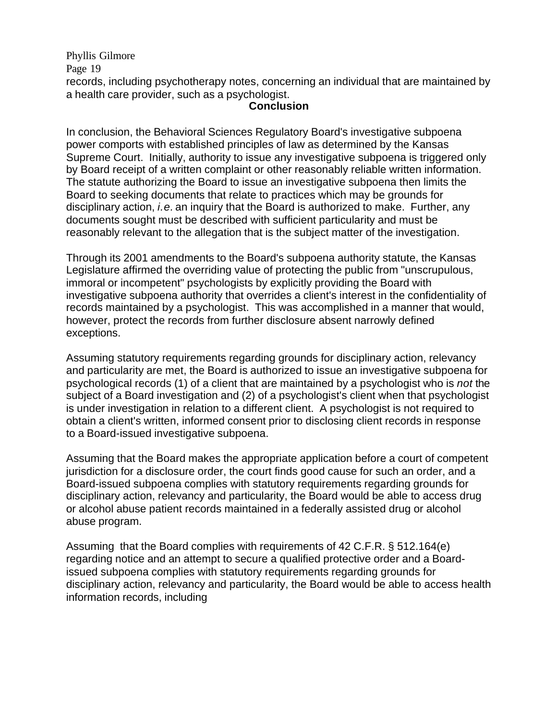Phyllis Gilmore Page 19 records, including psychotherapy notes, concerning an individual that are maintained by a health care provider, such as a psychologist.

#### **Conclusion**

In conclusion, the Behavioral Sciences Regulatory Board's investigative subpoena power comports with established principles of law as determined by the Kansas Supreme Court. Initially, authority to issue any investigative subpoena is triggered only by Board receipt of a written complaint or other reasonably reliable written information. The statute authorizing the Board to issue an investigative subpoena then limits the Board to seeking documents that relate to practices which may be grounds for disciplinary action, *i.e.* an inquiry that the Board is authorized to make. Further, any documents sought must be described with sufficient particularity and must be reasonably relevant to the allegation that is the subject matter of the investigation.

Through its 2001 amendments to the Board's subpoena authority statute, the Kansas Legislature affirmed the overriding value of protecting the public from "unscrupulous, immoral or incompetent" psychologists by explicitly providing the Board with investigative subpoena authority that overrides a client's interest in the confidentiality of records maintained by a psychologist. This was accomplished in a manner that would, however, protect the records from further disclosure absent narrowly defined exceptions.

Assuming statutory requirements regarding grounds for disciplinary action, relevancy and particularity are met, the Board is authorized to issue an investigative subpoena for psychological records (1) of a client that are maintained by a psychologist who is *not* the subject of a Board investigation and (2) of a psychologist's client when that psychologist is under investigation in relation to a different client. A psychologist is not required to obtain a client's written, informed consent prior to disclosing client records in response to a Board-issued investigative subpoena.

Assuming that the Board makes the appropriate application before a court of competent jurisdiction for a disclosure order, the court finds good cause for such an order, and a Board-issued subpoena complies with statutory requirements regarding grounds for disciplinary action, relevancy and particularity, the Board would be able to access drug or alcohol abuse patient records maintained in a federally assisted drug or alcohol abuse program.

Assuming that the Board complies with requirements of 42 C.F.R. § 512.164(e) regarding notice and an attempt to secure a qualified protective order and a Boardissued subpoena complies with statutory requirements regarding grounds for disciplinary action, relevancy and particularity, the Board would be able to access health information records, including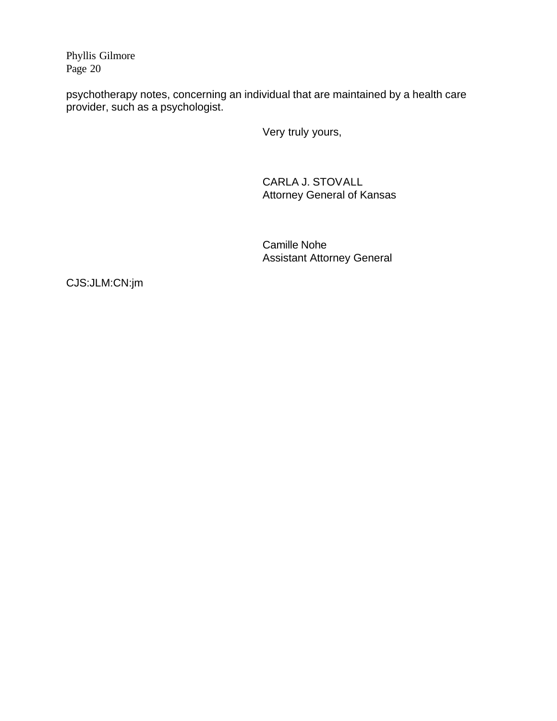Phyllis Gilmore Page 20

psychotherapy notes, concerning an individual that are maintained by a health care provider, such as a psychologist.

Very truly yours,

CARLA J. STOVALL Attorney General of Kansas

Camille Nohe Assistant Attorney General

CJS:JLM:CN:jm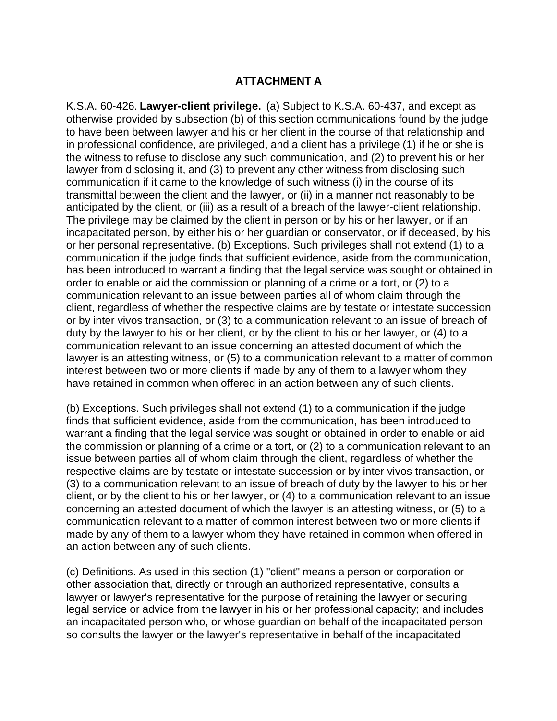## **ATTACHMENT A**

K.S.A. 60-426. **Lawyer-client privilege.** (a) Subject to K.S.A. 60-437, and except as otherwise provided by subsection (b) of this section communications found by the judge to have been between lawyer and his or her client in the course of that relationship and in professional confidence, are privileged, and a client has a privilege (1) if he or she is the witness to refuse to disclose any such communication, and (2) to prevent his or her lawyer from disclosing it, and (3) to prevent any other witness from disclosing such communication if it came to the knowledge of such witness (i) in the course of its transmittal between the client and the lawyer, or (ii) in a manner not reasonably to be anticipated by the client, or (iii) as a result of a breach of the lawyer-client relationship. The privilege may be claimed by the client in person or by his or her lawyer, or if an incapacitated person, by either his or her guardian or conservator, or if deceased, by his or her personal representative. (b) Exceptions. Such privileges shall not extend (1) to a communication if the judge finds that sufficient evidence, aside from the communication, has been introduced to warrant a finding that the legal service was sought or obtained in order to enable or aid the commission or planning of a crime or a tort, or (2) to a communication relevant to an issue between parties all of whom claim through the client, regardless of whether the respective claims are by testate or intestate succession or by inter vivos transaction, or (3) to a communication relevant to an issue of breach of duty by the lawyer to his or her client, or by the client to his or her lawyer, or (4) to a communication relevant to an issue concerning an attested document of which the lawyer is an attesting witness, or (5) to a communication relevant to a matter of common interest between two or more clients if made by any of them to a lawyer whom they have retained in common when offered in an action between any of such clients.

(b) Exceptions. Such privileges shall not extend (1) to a communication if the judge finds that sufficient evidence, aside from the communication, has been introduced to warrant a finding that the legal service was sought or obtained in order to enable or aid the commission or planning of a crime or a tort, or (2) to a communication relevant to an issue between parties all of whom claim through the client, regardless of whether the respective claims are by testate or intestate succession or by inter vivos transaction, or (3) to a communication relevant to an issue of breach of duty by the lawyer to his or her client, or by the client to his or her lawyer, or (4) to a communication relevant to an issue concerning an attested document of which the lawyer is an attesting witness, or (5) to a communication relevant to a matter of common interest between two or more clients if made by any of them to a lawyer whom they have retained in common when offered in an action between any of such clients.

(c) Definitions. As used in this section (1) "client" means a person or corporation or other association that, directly or through an authorized representative, consults a lawyer or lawyer's representative for the purpose of retaining the lawyer or securing legal service or advice from the lawyer in his or her professional capacity; and includes an incapacitated person who, or whose guardian on behalf of the incapacitated person so consults the lawyer or the lawyer's representative in behalf of the incapacitated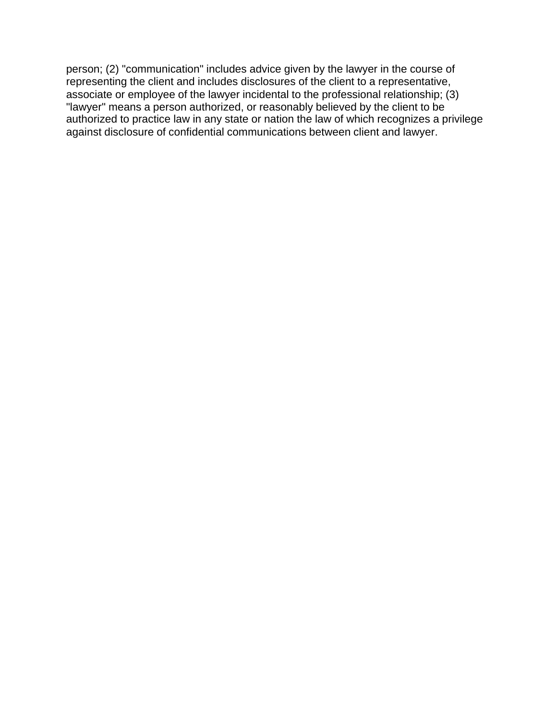person; (2) "communication" includes advice given by the lawyer in the course of representing the client and includes disclosures of the client to a representative, associate or employee of the lawyer incidental to the professional relationship; (3) "lawyer" means a person authorized, or reasonably believed by the client to be authorized to practice law in any state or nation the law of which recognizes a privilege against disclosure of confidential communications between client and lawyer.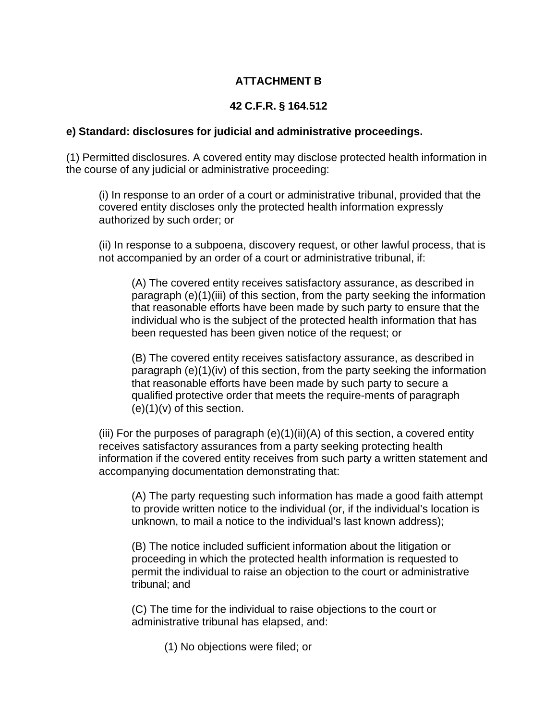# **ATTACHMENT B**

# **42 C.F.R. § 164.512**

#### **e) Standard: disclosures for judicial and administrative proceedings.**

(1) Permitted disclosures. A covered entity may disclose protected health information in the course of any judicial or administrative proceeding:

(i) In response to an order of a court or administrative tribunal, provided that the covered entity discloses only the protected health information expressly authorized by such order; or

(ii) In response to a subpoena, discovery request, or other lawful process, that is not accompanied by an order of a court or administrative tribunal, if:

(A) The covered entity receives satisfactory assurance, as described in paragraph (e)(1)(iii) of this section, from the party seeking the information that reasonable efforts have been made by such party to ensure that the individual who is the subject of the protected health information that has been requested has been given notice of the request; or

(B) The covered entity receives satisfactory assurance, as described in paragraph (e)(1)(iv) of this section, from the party seeking the information that reasonable efforts have been made by such party to secure a qualified protective order that meets the require-ments of paragraph  $(e)(1)(v)$  of this section.

(iii) For the purposes of paragraph (e)(1)(ii)(A) of this section, a covered entity receives satisfactory assurances from a party seeking protecting health information if the covered entity receives from such party a written statement and accompanying documentation demonstrating that:

(A) The party requesting such information has made a good faith attempt to provide written notice to the individual (or, if the individual's location is unknown, to mail a notice to the individual's last known address);

(B) The notice included sufficient information about the litigation or proceeding in which the protected health information is requested to permit the individual to raise an objection to the court or administrative tribunal; and

(C) The time for the individual to raise objections to the court or administrative tribunal has elapsed, and:

(1) No objections were filed; or